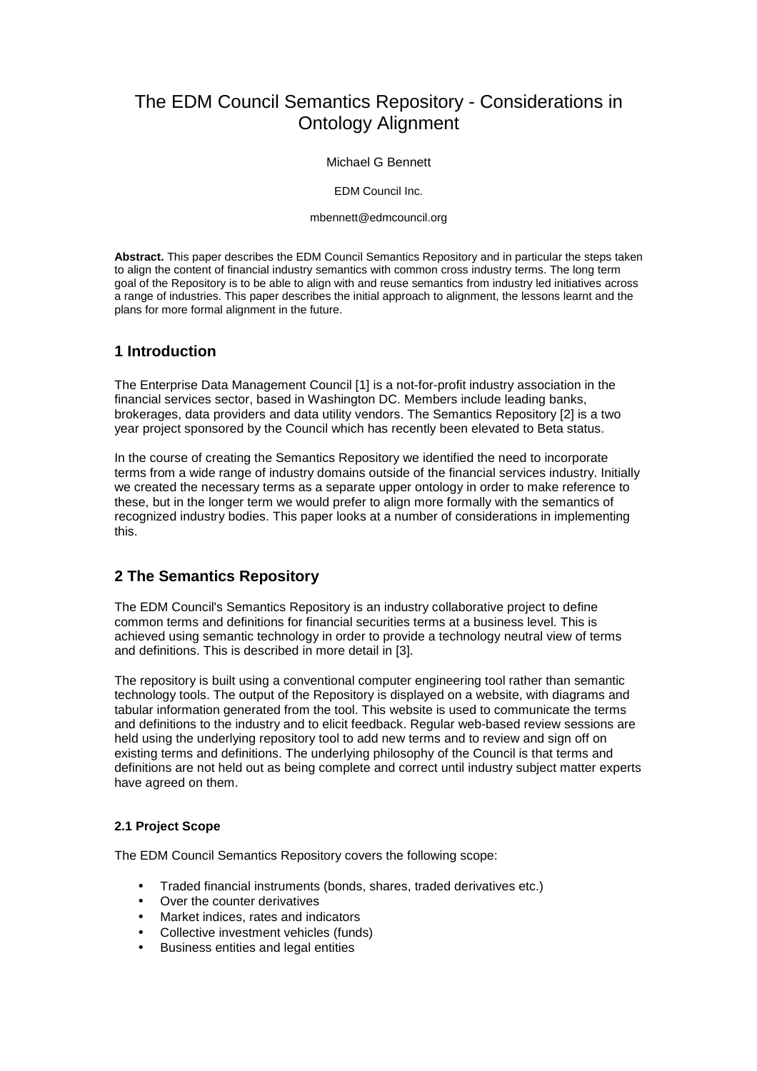# The EDM Council Semantics Repository - Considerations in Ontology Alignment

#### Michael G Bennett

EDM Council Inc.

mbennett@edmcouncil.org

**Abstract.** This paper describes the EDM Council Semantics Repository and in particular the steps taken to align the content of financial industry semantics with common cross industry terms. The long term goal of the Repository is to be able to align with and reuse semantics from industry led initiatives across a range of industries. This paper describes the initial approach to alignment, the lessons learnt and the plans for more formal alignment in the future.

# **1 Introduction**

The Enterprise Data Management Council [1] is a not-for-profit industry association in the financial services sector, based in Washington DC. Members include leading banks, brokerages, data providers and data utility vendors. The Semantics Repository [2] is a two year project sponsored by the Council which has recently been elevated to Beta status.

In the course of creating the Semantics Repository we identified the need to incorporate terms from a wide range of industry domains outside of the financial services industry. Initially we created the necessary terms as a separate upper ontology in order to make reference to these, but in the longer term we would prefer to align more formally with the semantics of recognized industry bodies. This paper looks at a number of considerations in implementing this.

## **2 The Semantics Repository**

The EDM Council's Semantics Repository is an industry collaborative project to define common terms and definitions for financial securities terms at a business level. This is achieved using semantic technology in order to provide a technology neutral view of terms and definitions. This is described in more detail in [3].

The repository is built using a conventional computer engineering tool rather than semantic technology tools. The output of the Repository is displayed on a website, with diagrams and tabular information generated from the tool. This website is used to communicate the terms and definitions to the industry and to elicit feedback. Regular web-based review sessions are held using the underlying repository tool to add new terms and to review and sign off on existing terms and definitions. The underlying philosophy of the Council is that terms and definitions are not held out as being complete and correct until industry subject matter experts have agreed on them.

## **2.1 Project Scope**

The EDM Council Semantics Repository covers the following scope:

- Traded financial instruments (bonds, shares, traded derivatives etc.)
- Over the counter derivatives
- Market indices, rates and indicators
- Collective investment vehicles (funds)
- Business entities and legal entities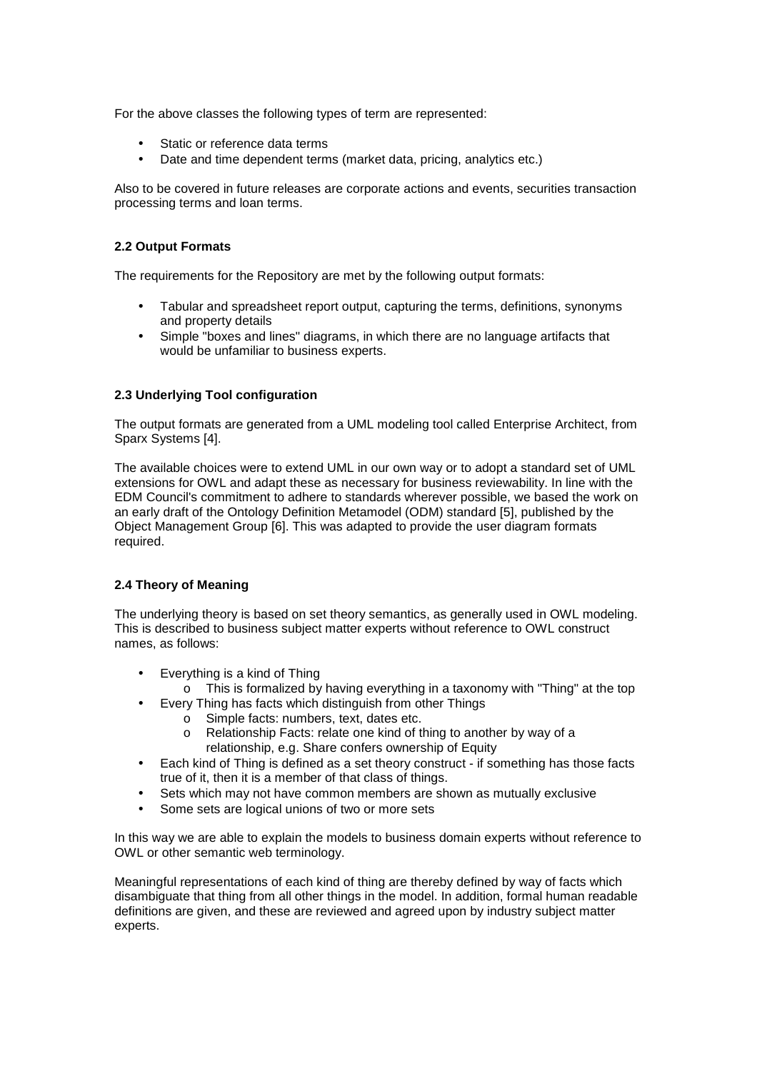For the above classes the following types of term are represented:

- Static or reference data terms
- Date and time dependent terms (market data, pricing, analytics etc.)

Also to be covered in future releases are corporate actions and events, securities transaction processing terms and loan terms.

#### **2.2 Output Formats**

The requirements for the Repository are met by the following output formats:

- Tabular and spreadsheet report output, capturing the terms, definitions, synonyms and property details
- Simple "boxes and lines" diagrams, in which there are no language artifacts that would be unfamiliar to business experts.

#### **2.3 Underlying Tool configuration**

The output formats are generated from a UML modeling tool called Enterprise Architect, from Sparx Systems [4].

The available choices were to extend UML in our own way or to adopt a standard set of UML extensions for OWL and adapt these as necessary for business reviewability. In line with the EDM Council's commitment to adhere to standards wherever possible, we based the work on an early draft of the Ontology Definition Metamodel (ODM) standard [5], published by the Object Management Group [6]. This was adapted to provide the user diagram formats required.

## **2.4 Theory of Meaning**

The underlying theory is based on set theory semantics, as generally used in OWL modeling. This is described to business subject matter experts without reference to OWL construct names, as follows:

- Everything is a kind of Thing
- $\circ$  This is formalized by having everything in a taxonomy with "Thing" at the top
	- Every Thing has facts which distinguish from other Things
		- o Simple facts: numbers, text, dates etc.
		- o Relationship Facts: relate one kind of thing to another by way of a relationship, e.g. Share confers ownership of Equity
- Each kind of Thing is defined as a set theory construct if something has those facts true of it, then it is a member of that class of things.
- Sets which may not have common members are shown as mutually exclusive
- Some sets are logical unions of two or more sets

In this way we are able to explain the models to business domain experts without reference to OWL or other semantic web terminology.

Meaningful representations of each kind of thing are thereby defined by way of facts which disambiguate that thing from all other things in the model. In addition, formal human readable definitions are given, and these are reviewed and agreed upon by industry subject matter experts.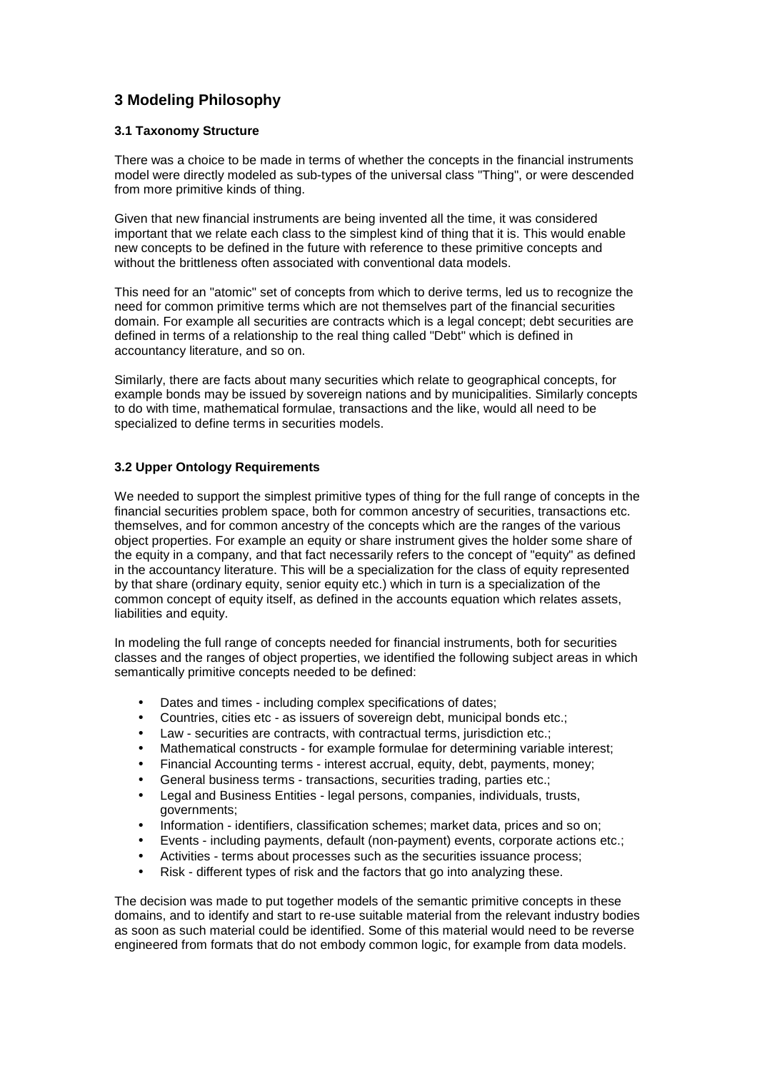# **3 Modeling Philosophy**

## **3.1 Taxonomy Structure**

There was a choice to be made in terms of whether the concepts in the financial instruments model were directly modeled as sub-types of the universal class "Thing", or were descended from more primitive kinds of thing.

Given that new financial instruments are being invented all the time, it was considered important that we relate each class to the simplest kind of thing that it is. This would enable new concepts to be defined in the future with reference to these primitive concepts and without the brittleness often associated with conventional data models.

This need for an "atomic" set of concepts from which to derive terms, led us to recognize the need for common primitive terms which are not themselves part of the financial securities domain. For example all securities are contracts which is a legal concept; debt securities are defined in terms of a relationship to the real thing called "Debt" which is defined in accountancy literature, and so on.

Similarly, there are facts about many securities which relate to geographical concepts, for example bonds may be issued by sovereign nations and by municipalities. Similarly concepts to do with time, mathematical formulae, transactions and the like, would all need to be specialized to define terms in securities models.

## **3.2 Upper Ontology Requirements**

We needed to support the simplest primitive types of thing for the full range of concepts in the financial securities problem space, both for common ancestry of securities, transactions etc. themselves, and for common ancestry of the concepts which are the ranges of the various object properties. For example an equity or share instrument gives the holder some share of the equity in a company, and that fact necessarily refers to the concept of "equity" as defined in the accountancy literature. This will be a specialization for the class of equity represented by that share (ordinary equity, senior equity etc.) which in turn is a specialization of the common concept of equity itself, as defined in the accounts equation which relates assets, liabilities and equity.

In modeling the full range of concepts needed for financial instruments, both for securities classes and the ranges of object properties, we identified the following subject areas in which semantically primitive concepts needed to be defined:

- Dates and times including complex specifications of dates;
- Countries, cities etc as issuers of sovereign debt, municipal bonds etc.;
- Law securities are contracts, with contractual terms, jurisdiction etc.;
- Mathematical constructs for example formulae for determining variable interest;
- Financial Accounting terms interest accrual, equity, debt, payments, money;
- General business terms transactions, securities trading, parties etc.;
- Legal and Business Entities legal persons, companies, individuals, trusts, governments;
- Information identifiers, classification schemes; market data, prices and so on;
- Events including payments, default (non-payment) events, corporate actions etc.;
- Activities terms about processes such as the securities issuance process;
- Risk different types of risk and the factors that go into analyzing these.

The decision was made to put together models of the semantic primitive concepts in these domains, and to identify and start to re-use suitable material from the relevant industry bodies as soon as such material could be identified. Some of this material would need to be reverse engineered from formats that do not embody common logic, for example from data models.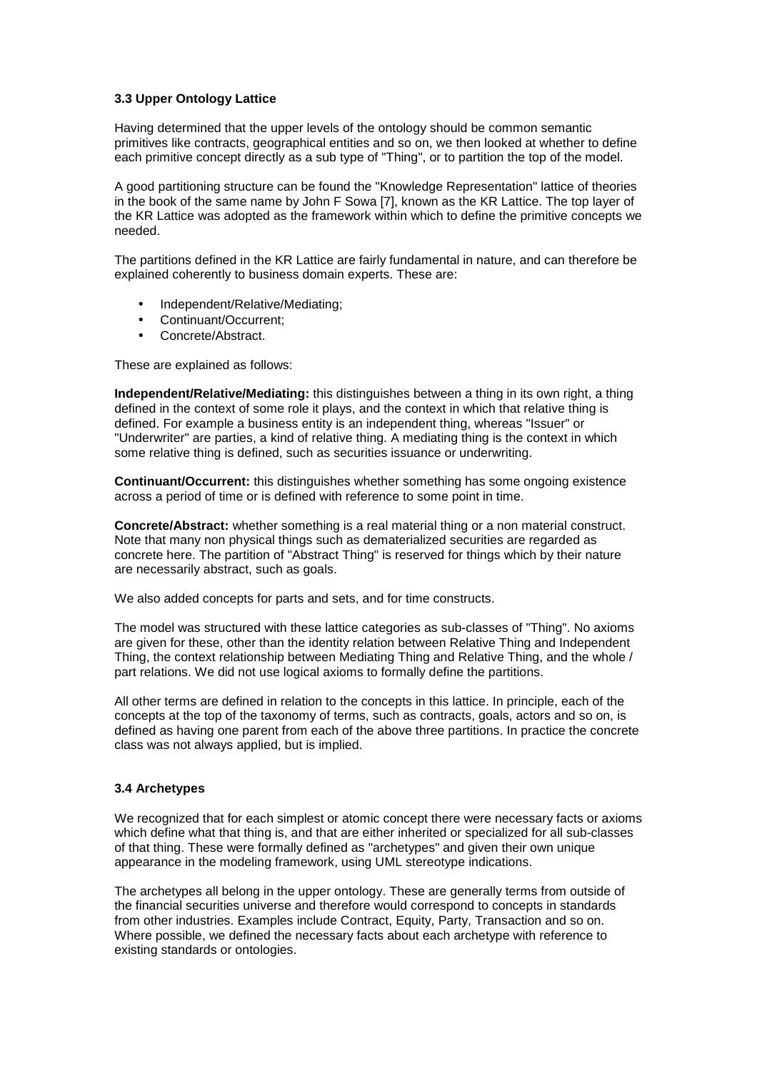## **3.3 Upper Ontology Lattice**

Having determined that the upper levels of the ontology should be common semantic primitives like contracts, geographical entities and so on, we then looked at whether to define each primitive concept directly as a sub type of "Thing", or to partition the top of the model.

A good partitioning structure can be found the "Knowledge Representation" lattice of theories in the book of the same name by John F Sowa [7], known as the KR Lattice. The top layer of the KR Lattice was adopted as the framework within which to define the primitive concepts we needed.

The partitions defined in the KR Lattice are fairly fundamental in nature, and can therefore be explained coherently to business domain experts. These are:

- Independent/Relative/Mediating;
- Continuant/Occurrent;
- Concrete/Abstract.

These are explained as follows:

**Independent/Relative/Mediating:** this distinguishes between a thing in its own right, a thing defined in the context of some role it plays, and the context in which that relative thing is defined. For example a business entity is an independent thing, whereas "Issuer" or "Underwriter" are parties, a kind of relative thing. A mediating thing is the context in which some relative thing is defined, such as securities issuance or underwriting.

**Continuant/Occurrent:** this distinguishes whether something has some ongoing existence across a period of time or is defined with reference to some point in time.

**Concrete/Abstract:** whether something is a real material thing or a non material construct. Note that many non physical things such as dematerialized securities are regarded as concrete here. The partition of "Abstract Thing" is reserved for things which by their nature are necessarily abstract, such as goals.

We also added concepts for parts and sets, and for time constructs.

The model was structured with these lattice categories as sub-classes of "Thing". No axioms are given for these, other than the identity relation between Relative Thing and Independent Thing, the context relationship between Mediating Thing and Relative Thing, and the whole / part relations. We did not use logical axioms to formally define the partitions.

All other terms are defined in relation to the concepts in this lattice. In principle, each of the concepts at the top of the taxonomy of terms, such as contracts, goals, actors and so on, is defined as having one parent from each of the above three partitions. In practice the concrete class was not always applied, but is implied.

#### **3.4 Archetypes**

We recognized that for each simplest or atomic concept there were necessary facts or axioms which define what that thing is, and that are either inherited or specialized for all sub-classes of that thing. These were formally defined as "archetypes" and given their own unique appearance in the modeling framework, using UML stereotype indications.

The archetypes all belong in the upper ontology. These are generally terms from outside of the financial securities universe and therefore would correspond to concepts in standards from other industries. Examples include Contract, Equity, Party, Transaction and so on. Where possible, we defined the necessary facts about each archetype with reference to existing standards or ontologies.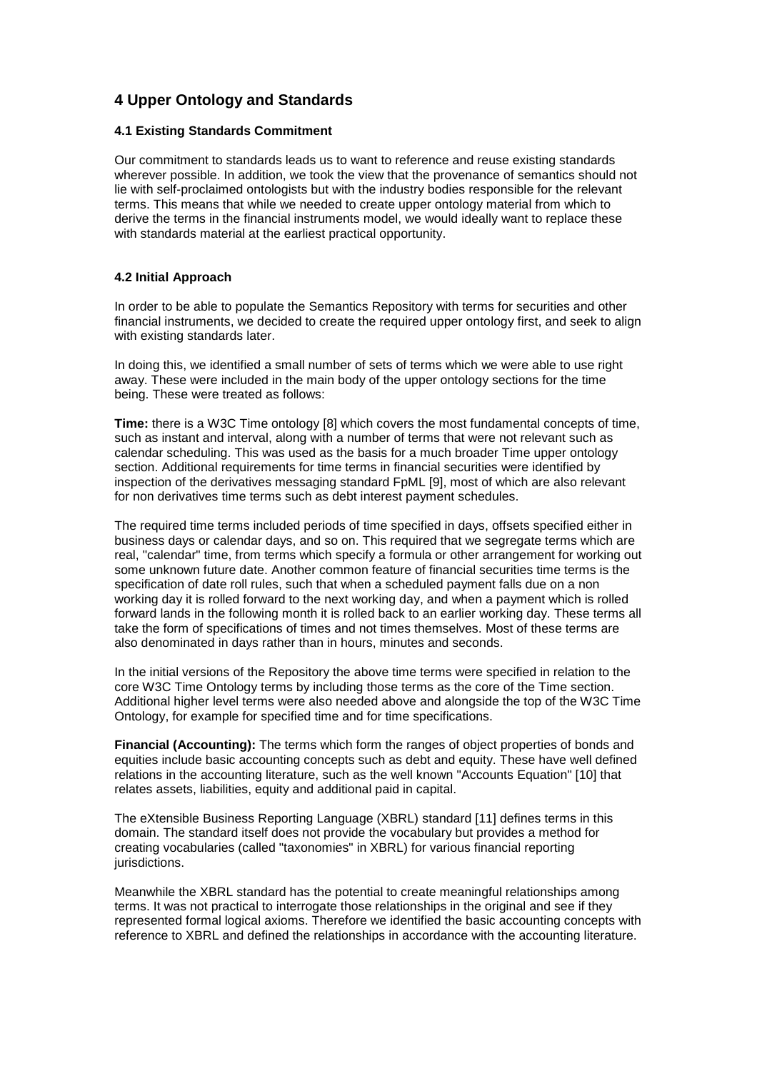# **4 Upper Ontology and Standards**

#### **4.1 Existing Standards Commitment**

Our commitment to standards leads us to want to reference and reuse existing standards wherever possible. In addition, we took the view that the provenance of semantics should not lie with self-proclaimed ontologists but with the industry bodies responsible for the relevant terms. This means that while we needed to create upper ontology material from which to derive the terms in the financial instruments model, we would ideally want to replace these with standards material at the earliest practical opportunity.

## **4.2 Initial Approach**

In order to be able to populate the Semantics Repository with terms for securities and other financial instruments, we decided to create the required upper ontology first, and seek to align with existing standards later.

In doing this, we identified a small number of sets of terms which we were able to use right away. These were included in the main body of the upper ontology sections for the time being. These were treated as follows:

**Time:** there is a W3C Time ontology [8] which covers the most fundamental concepts of time, such as instant and interval, along with a number of terms that were not relevant such as calendar scheduling. This was used as the basis for a much broader Time upper ontology section. Additional requirements for time terms in financial securities were identified by inspection of the derivatives messaging standard FpML [9], most of which are also relevant for non derivatives time terms such as debt interest payment schedules.

The required time terms included periods of time specified in days, offsets specified either in business days or calendar days, and so on. This required that we segregate terms which are real, "calendar" time, from terms which specify a formula or other arrangement for working out some unknown future date. Another common feature of financial securities time terms is the specification of date roll rules, such that when a scheduled payment falls due on a non working day it is rolled forward to the next working day, and when a payment which is rolled forward lands in the following month it is rolled back to an earlier working day. These terms all take the form of specifications of times and not times themselves. Most of these terms are also denominated in days rather than in hours, minutes and seconds.

In the initial versions of the Repository the above time terms were specified in relation to the core W3C Time Ontology terms by including those terms as the core of the Time section. Additional higher level terms were also needed above and alongside the top of the W3C Time Ontology, for example for specified time and for time specifications.

**Financial (Accounting):** The terms which form the ranges of object properties of bonds and equities include basic accounting concepts such as debt and equity. These have well defined relations in the accounting literature, such as the well known "Accounts Equation" [10] that relates assets, liabilities, equity and additional paid in capital.

The eXtensible Business Reporting Language (XBRL) standard [11] defines terms in this domain. The standard itself does not provide the vocabulary but provides a method for creating vocabularies (called "taxonomies" in XBRL) for various financial reporting jurisdictions.

Meanwhile the XBRL standard has the potential to create meaningful relationships among terms. It was not practical to interrogate those relationships in the original and see if they represented formal logical axioms. Therefore we identified the basic accounting concepts with reference to XBRL and defined the relationships in accordance with the accounting literature.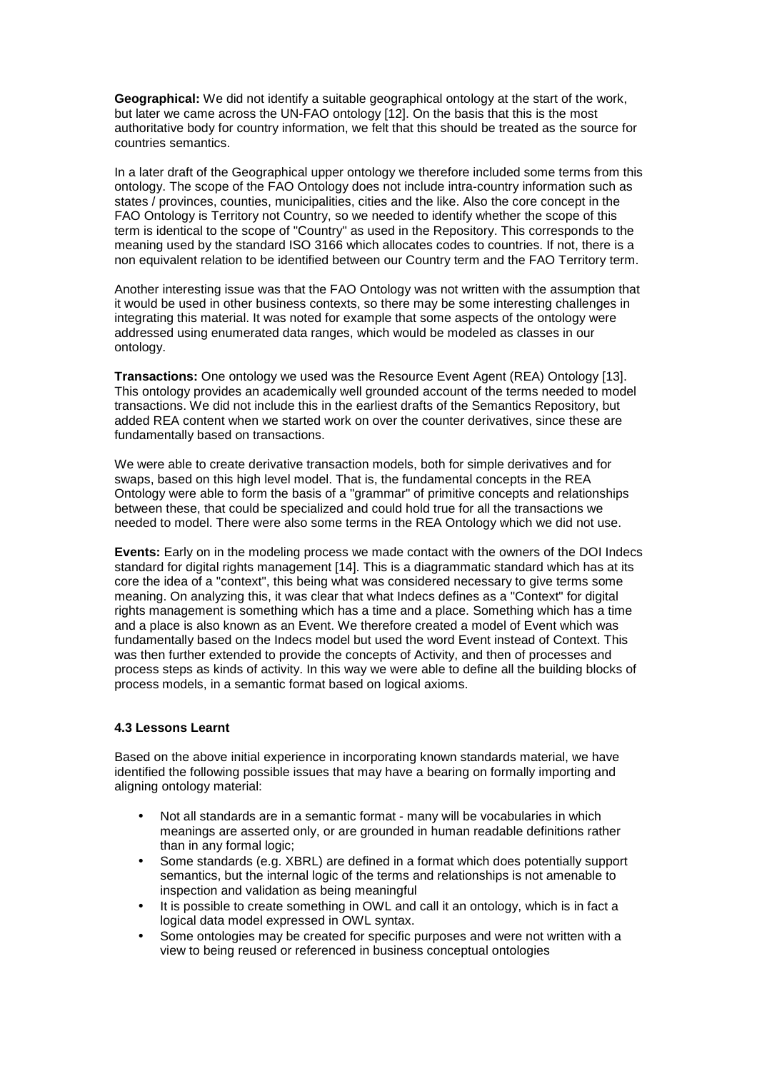**Geographical:** We did not identify a suitable geographical ontology at the start of the work, but later we came across the UN-FAO ontology [12]. On the basis that this is the most authoritative body for country information, we felt that this should be treated as the source for countries semantics.

In a later draft of the Geographical upper ontology we therefore included some terms from this ontology. The scope of the FAO Ontology does not include intra-country information such as states / provinces, counties, municipalities, cities and the like. Also the core concept in the FAO Ontology is Territory not Country, so we needed to identify whether the scope of this term is identical to the scope of "Country" as used in the Repository. This corresponds to the meaning used by the standard ISO 3166 which allocates codes to countries. If not, there is a non equivalent relation to be identified between our Country term and the FAO Territory term.

Another interesting issue was that the FAO Ontology was not written with the assumption that it would be used in other business contexts, so there may be some interesting challenges in integrating this material. It was noted for example that some aspects of the ontology were addressed using enumerated data ranges, which would be modeled as classes in our ontology.

**Transactions:** One ontology we used was the Resource Event Agent (REA) Ontology [13]. This ontology provides an academically well grounded account of the terms needed to model transactions. We did not include this in the earliest drafts of the Semantics Repository, but added REA content when we started work on over the counter derivatives, since these are fundamentally based on transactions.

We were able to create derivative transaction models, both for simple derivatives and for swaps, based on this high level model. That is, the fundamental concepts in the REA Ontology were able to form the basis of a "grammar" of primitive concepts and relationships between these, that could be specialized and could hold true for all the transactions we needed to model. There were also some terms in the REA Ontology which we did not use.

**Events:** Early on in the modeling process we made contact with the owners of the DOI Indecs standard for digital rights management [14]. This is a diagrammatic standard which has at its core the idea of a "context", this being what was considered necessary to give terms some meaning. On analyzing this, it was clear that what Indecs defines as a "Context" for digital rights management is something which has a time and a place. Something which has a time and a place is also known as an Event. We therefore created a model of Event which was fundamentally based on the Indecs model but used the word Event instead of Context. This was then further extended to provide the concepts of Activity, and then of processes and process steps as kinds of activity. In this way we were able to define all the building blocks of process models, in a semantic format based on logical axioms.

#### **4.3 Lessons Learnt**

Based on the above initial experience in incorporating known standards material, we have identified the following possible issues that may have a bearing on formally importing and aligning ontology material:

- Not all standards are in a semantic format many will be vocabularies in which meanings are asserted only, or are grounded in human readable definitions rather than in any formal logic;
- Some standards (e.g. XBRL) are defined in a format which does potentially support semantics, but the internal logic of the terms and relationships is not amenable to inspection and validation as being meaningful
- It is possible to create something in OWL and call it an ontology, which is in fact a logical data model expressed in OWL syntax.
- Some ontologies may be created for specific purposes and were not written with a view to being reused or referenced in business conceptual ontologies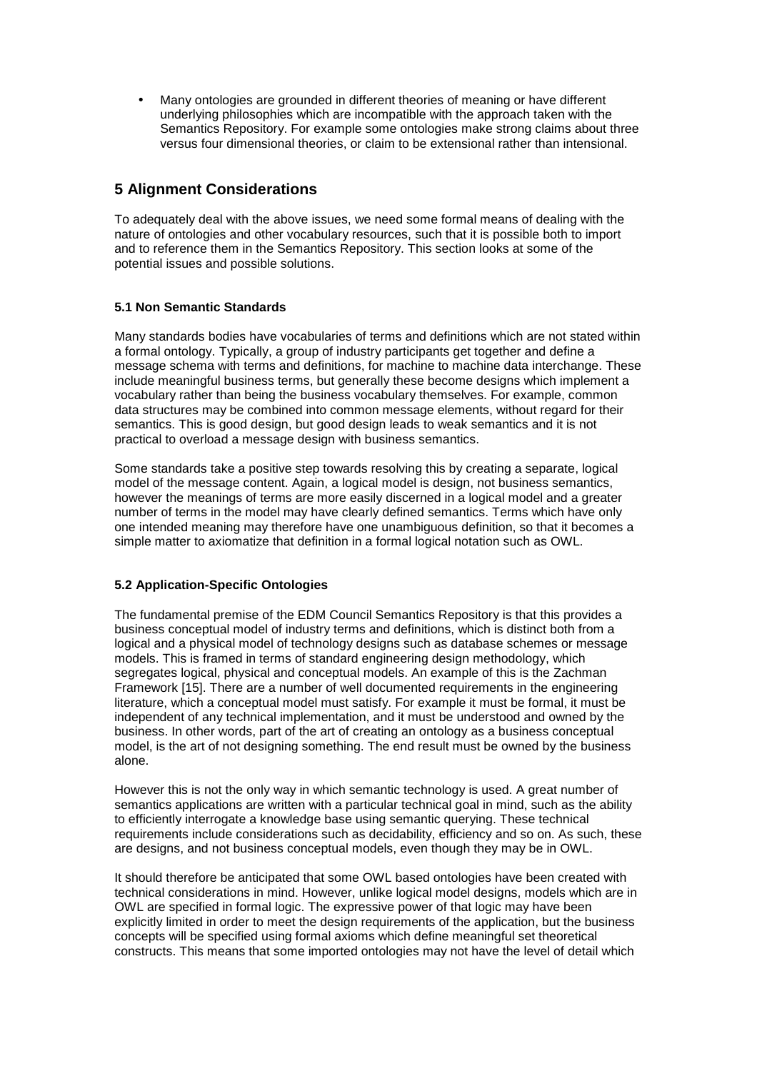• Many ontologies are grounded in different theories of meaning or have different underlying philosophies which are incompatible with the approach taken with the Semantics Repository. For example some ontologies make strong claims about three versus four dimensional theories, or claim to be extensional rather than intensional.

## **5 Alignment Considerations**

To adequately deal with the above issues, we need some formal means of dealing with the nature of ontologies and other vocabulary resources, such that it is possible both to import and to reference them in the Semantics Repository. This section looks at some of the potential issues and possible solutions.

## **5.1 Non Semantic Standards**

Many standards bodies have vocabularies of terms and definitions which are not stated within a formal ontology. Typically, a group of industry participants get together and define a message schema with terms and definitions, for machine to machine data interchange. These include meaningful business terms, but generally these become designs which implement a vocabulary rather than being the business vocabulary themselves. For example, common data structures may be combined into common message elements, without regard for their semantics. This is good design, but good design leads to weak semantics and it is not practical to overload a message design with business semantics.

Some standards take a positive step towards resolving this by creating a separate, logical model of the message content. Again, a logical model is design, not business semantics, however the meanings of terms are more easily discerned in a logical model and a greater number of terms in the model may have clearly defined semantics. Terms which have only one intended meaning may therefore have one unambiguous definition, so that it becomes a simple matter to axiomatize that definition in a formal logical notation such as OWL.

## **5.2 Application-Specific Ontologies**

The fundamental premise of the EDM Council Semantics Repository is that this provides a business conceptual model of industry terms and definitions, which is distinct both from a logical and a physical model of technology designs such as database schemes or message models. This is framed in terms of standard engineering design methodology, which segregates logical, physical and conceptual models. An example of this is the Zachman Framework [15]. There are a number of well documented requirements in the engineering literature, which a conceptual model must satisfy. For example it must be formal, it must be independent of any technical implementation, and it must be understood and owned by the business. In other words, part of the art of creating an ontology as a business conceptual model, is the art of not designing something. The end result must be owned by the business alone.

However this is not the only way in which semantic technology is used. A great number of semantics applications are written with a particular technical goal in mind, such as the ability to efficiently interrogate a knowledge base using semantic querying. These technical requirements include considerations such as decidability, efficiency and so on. As such, these are designs, and not business conceptual models, even though they may be in OWL.

It should therefore be anticipated that some OWL based ontologies have been created with technical considerations in mind. However, unlike logical model designs, models which are in OWL are specified in formal logic. The expressive power of that logic may have been explicitly limited in order to meet the design requirements of the application, but the business concepts will be specified using formal axioms which define meaningful set theoretical constructs. This means that some imported ontologies may not have the level of detail which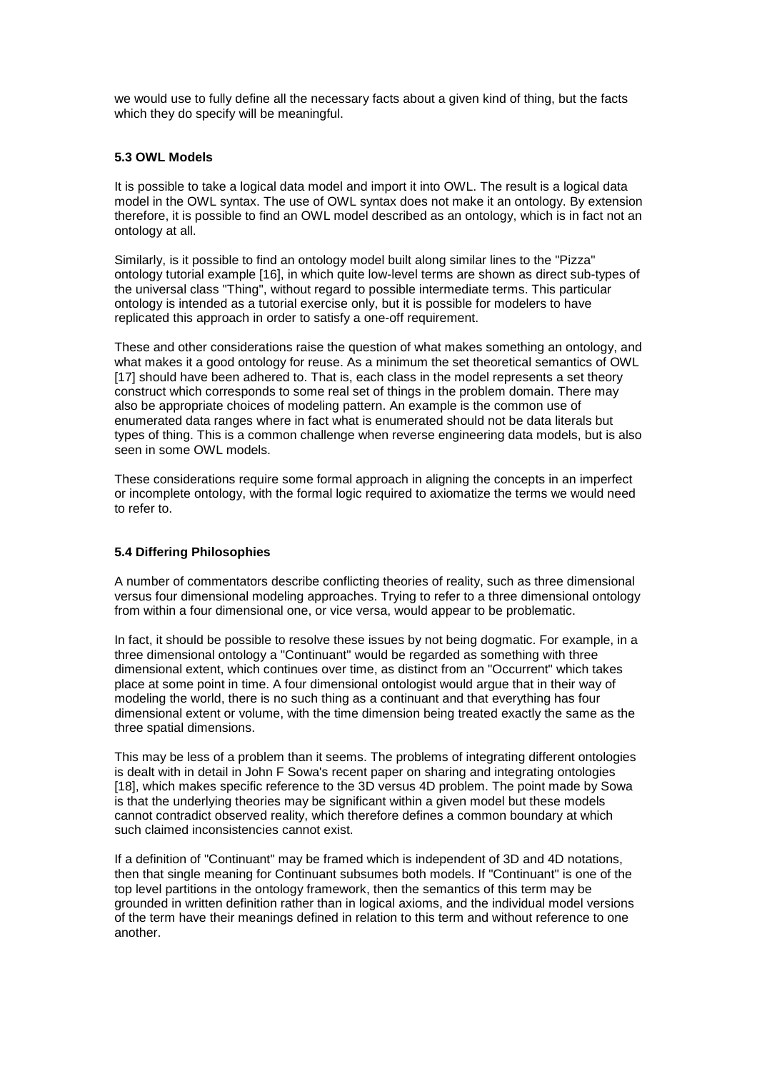we would use to fully define all the necessary facts about a given kind of thing, but the facts which they do specify will be meaningful.

#### **5.3 OWL Models**

It is possible to take a logical data model and import it into OWL. The result is a logical data model in the OWL syntax. The use of OWL syntax does not make it an ontology. By extension therefore, it is possible to find an OWL model described as an ontology, which is in fact not an ontology at all.

Similarly, is it possible to find an ontology model built along similar lines to the "Pizza" ontology tutorial example [16], in which quite low-level terms are shown as direct sub-types of the universal class "Thing", without regard to possible intermediate terms. This particular ontology is intended as a tutorial exercise only, but it is possible for modelers to have replicated this approach in order to satisfy a one-off requirement.

These and other considerations raise the question of what makes something an ontology, and what makes it a good ontology for reuse. As a minimum the set theoretical semantics of OWL [17] should have been adhered to. That is, each class in the model represents a set theory construct which corresponds to some real set of things in the problem domain. There may also be appropriate choices of modeling pattern. An example is the common use of enumerated data ranges where in fact what is enumerated should not be data literals but types of thing. This is a common challenge when reverse engineering data models, but is also seen in some OWL models.

These considerations require some formal approach in aligning the concepts in an imperfect or incomplete ontology, with the formal logic required to axiomatize the terms we would need to refer to.

## **5.4 Differing Philosophies**

A number of commentators describe conflicting theories of reality, such as three dimensional versus four dimensional modeling approaches. Trying to refer to a three dimensional ontology from within a four dimensional one, or vice versa, would appear to be problematic.

In fact, it should be possible to resolve these issues by not being dogmatic. For example, in a three dimensional ontology a "Continuant" would be regarded as something with three dimensional extent, which continues over time, as distinct from an "Occurrent" which takes place at some point in time. A four dimensional ontologist would argue that in their way of modeling the world, there is no such thing as a continuant and that everything has four dimensional extent or volume, with the time dimension being treated exactly the same as the three spatial dimensions.

This may be less of a problem than it seems. The problems of integrating different ontologies is dealt with in detail in John F Sowa's recent paper on sharing and integrating ontologies [18], which makes specific reference to the 3D versus 4D problem. The point made by Sowa is that the underlying theories may be significant within a given model but these models cannot contradict observed reality, which therefore defines a common boundary at which such claimed inconsistencies cannot exist.

If a definition of "Continuant" may be framed which is independent of 3D and 4D notations, then that single meaning for Continuant subsumes both models. If "Continuant" is one of the top level partitions in the ontology framework, then the semantics of this term may be grounded in written definition rather than in logical axioms, and the individual model versions of the term have their meanings defined in relation to this term and without reference to one another.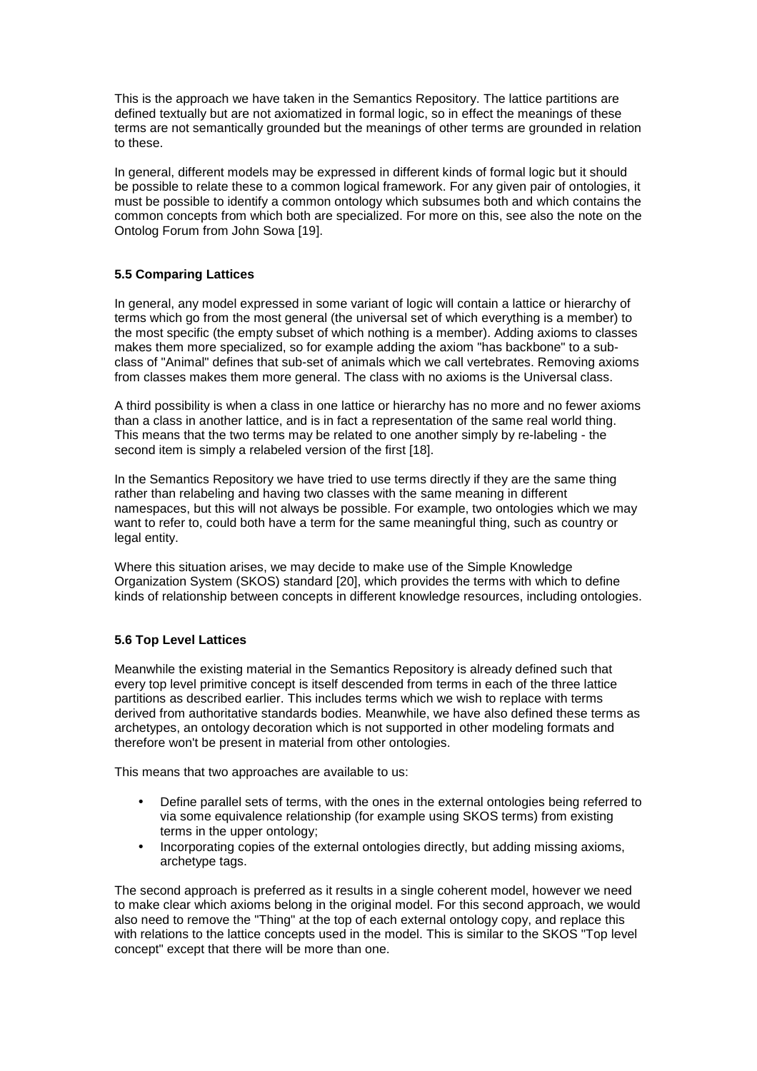This is the approach we have taken in the Semantics Repository. The lattice partitions are defined textually but are not axiomatized in formal logic, so in effect the meanings of these terms are not semantically grounded but the meanings of other terms are grounded in relation to these.

In general, different models may be expressed in different kinds of formal logic but it should be possible to relate these to a common logical framework. For any given pair of ontologies, it must be possible to identify a common ontology which subsumes both and which contains the common concepts from which both are specialized. For more on this, see also the note on the Ontolog Forum from John Sowa [19].

## **5.5 Comparing Lattices**

In general, any model expressed in some variant of logic will contain a lattice or hierarchy of terms which go from the most general (the universal set of which everything is a member) to the most specific (the empty subset of which nothing is a member). Adding axioms to classes makes them more specialized, so for example adding the axiom "has backbone" to a subclass of "Animal" defines that sub-set of animals which we call vertebrates. Removing axioms from classes makes them more general. The class with no axioms is the Universal class.

A third possibility is when a class in one lattice or hierarchy has no more and no fewer axioms than a class in another lattice, and is in fact a representation of the same real world thing. This means that the two terms may be related to one another simply by re-labeling - the second item is simply a relabeled version of the first [18].

In the Semantics Repository we have tried to use terms directly if they are the same thing rather than relabeling and having two classes with the same meaning in different namespaces, but this will not always be possible. For example, two ontologies which we may want to refer to, could both have a term for the same meaningful thing, such as country or legal entity.

Where this situation arises, we may decide to make use of the Simple Knowledge Organization System (SKOS) standard [20], which provides the terms with which to define kinds of relationship between concepts in different knowledge resources, including ontologies.

## **5.6 Top Level Lattices**

Meanwhile the existing material in the Semantics Repository is already defined such that every top level primitive concept is itself descended from terms in each of the three lattice partitions as described earlier. This includes terms which we wish to replace with terms derived from authoritative standards bodies. Meanwhile, we have also defined these terms as archetypes, an ontology decoration which is not supported in other modeling formats and therefore won't be present in material from other ontologies.

This means that two approaches are available to us:

- Define parallel sets of terms, with the ones in the external ontologies being referred to via some equivalence relationship (for example using SKOS terms) from existing terms in the upper ontology;
- Incorporating copies of the external ontologies directly, but adding missing axioms, archetype tags.

The second approach is preferred as it results in a single coherent model, however we need to make clear which axioms belong in the original model. For this second approach, we would also need to remove the "Thing" at the top of each external ontology copy, and replace this with relations to the lattice concepts used in the model. This is similar to the SKOS "Top level concept" except that there will be more than one.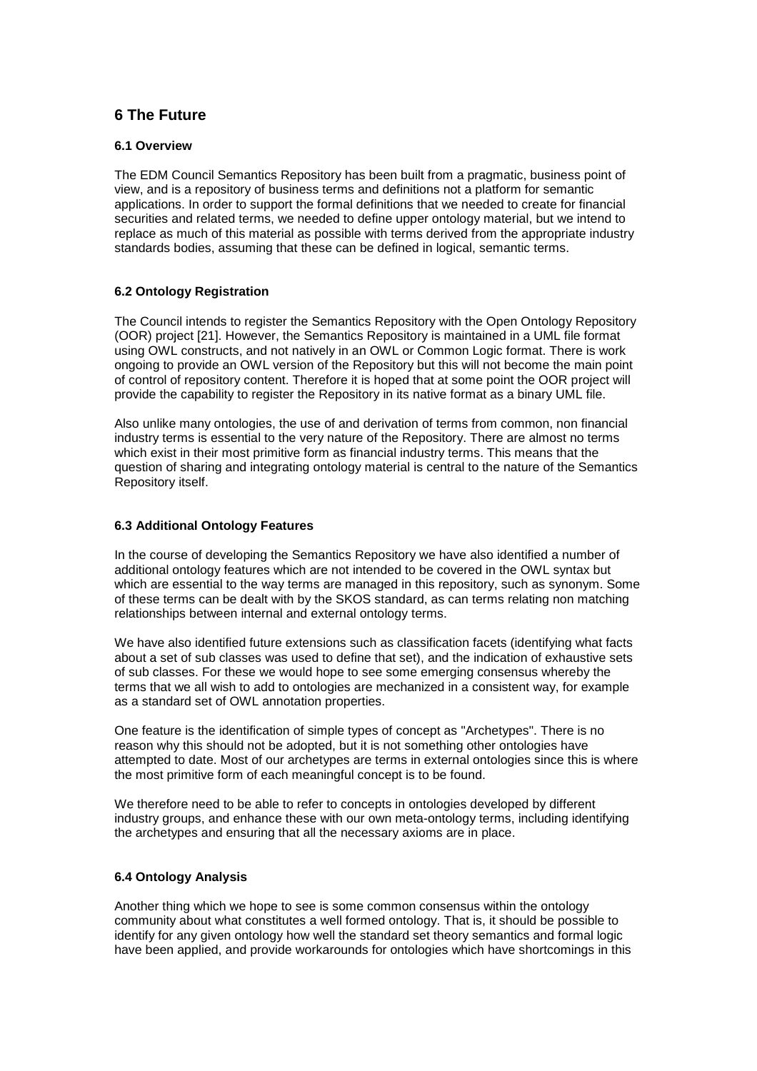# **6 The Future**

#### **6.1 Overview**

The EDM Council Semantics Repository has been built from a pragmatic, business point of view, and is a repository of business terms and definitions not a platform for semantic applications. In order to support the formal definitions that we needed to create for financial securities and related terms, we needed to define upper ontology material, but we intend to replace as much of this material as possible with terms derived from the appropriate industry standards bodies, assuming that these can be defined in logical, semantic terms.

## **6.2 Ontology Registration**

The Council intends to register the Semantics Repository with the Open Ontology Repository (OOR) project [21]. However, the Semantics Repository is maintained in a UML file format using OWL constructs, and not natively in an OWL or Common Logic format. There is work ongoing to provide an OWL version of the Repository but this will not become the main point of control of repository content. Therefore it is hoped that at some point the OOR project will provide the capability to register the Repository in its native format as a binary UML file.

Also unlike many ontologies, the use of and derivation of terms from common, non financial industry terms is essential to the very nature of the Repository. There are almost no terms which exist in their most primitive form as financial industry terms. This means that the question of sharing and integrating ontology material is central to the nature of the Semantics Repository itself.

#### **6.3 Additional Ontology Features**

In the course of developing the Semantics Repository we have also identified a number of additional ontology features which are not intended to be covered in the OWL syntax but which are essential to the way terms are managed in this repository, such as synonym. Some of these terms can be dealt with by the SKOS standard, as can terms relating non matching relationships between internal and external ontology terms.

We have also identified future extensions such as classification facets (identifying what facts about a set of sub classes was used to define that set), and the indication of exhaustive sets of sub classes. For these we would hope to see some emerging consensus whereby the terms that we all wish to add to ontologies are mechanized in a consistent way, for example as a standard set of OWL annotation properties.

One feature is the identification of simple types of concept as "Archetypes". There is no reason why this should not be adopted, but it is not something other ontologies have attempted to date. Most of our archetypes are terms in external ontologies since this is where the most primitive form of each meaningful concept is to be found.

We therefore need to be able to refer to concepts in ontologies developed by different industry groups, and enhance these with our own meta-ontology terms, including identifying the archetypes and ensuring that all the necessary axioms are in place.

#### **6.4 Ontology Analysis**

Another thing which we hope to see is some common consensus within the ontology community about what constitutes a well formed ontology. That is, it should be possible to identify for any given ontology how well the standard set theory semantics and formal logic have been applied, and provide workarounds for ontologies which have shortcomings in this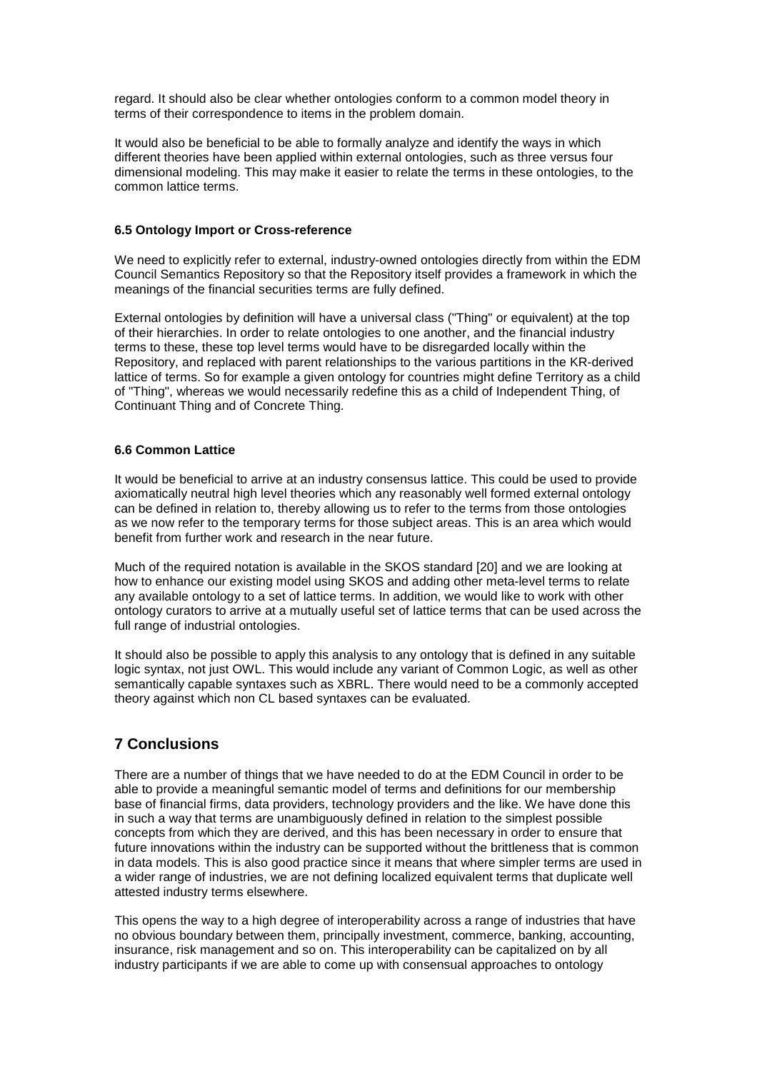regard. It should also be clear whether ontologies conform to a common model theory in terms of their correspondence to items in the problem domain.

It would also be beneficial to be able to formally analyze and identify the ways in which different theories have been applied within external ontologies, such as three versus four dimensional modeling. This may make it easier to relate the terms in these ontologies, to the common lattice terms.

#### **6.5 Ontology Import or Cross-reference**

We need to explicitly refer to external, industry-owned ontologies directly from within the EDM Council Semantics Repository so that the Repository itself provides a framework in which the meanings of the financial securities terms are fully defined.

External ontologies by definition will have a universal class ("Thing" or equivalent) at the top of their hierarchies. In order to relate ontologies to one another, and the financial industry terms to these, these top level terms would have to be disregarded locally within the Repository, and replaced with parent relationships to the various partitions in the KR-derived lattice of terms. So for example a given ontology for countries might define Territory as a child of "Thing", whereas we would necessarily redefine this as a child of Independent Thing, of Continuant Thing and of Concrete Thing.

#### **6.6 Common Lattice**

It would be beneficial to arrive at an industry consensus lattice. This could be used to provide axiomatically neutral high level theories which any reasonably well formed external ontology can be defined in relation to, thereby allowing us to refer to the terms from those ontologies as we now refer to the temporary terms for those subject areas. This is an area which would benefit from further work and research in the near future.

Much of the required notation is available in the SKOS standard [20] and we are looking at how to enhance our existing model using SKOS and adding other meta-level terms to relate any available ontology to a set of lattice terms. In addition, we would like to work with other ontology curators to arrive at a mutually useful set of lattice terms that can be used across the full range of industrial ontologies.

It should also be possible to apply this analysis to any ontology that is defined in any suitable logic syntax, not just OWL. This would include any variant of Common Logic, as well as other semantically capable syntaxes such as XBRL. There would need to be a commonly accepted theory against which non CL based syntaxes can be evaluated.

## **7 Conclusions**

There are a number of things that we have needed to do at the EDM Council in order to be able to provide a meaningful semantic model of terms and definitions for our membership base of financial firms, data providers, technology providers and the like. We have done this in such a way that terms are unambiguously defined in relation to the simplest possible concepts from which they are derived, and this has been necessary in order to ensure that future innovations within the industry can be supported without the brittleness that is common in data models. This is also good practice since it means that where simpler terms are used in a wider range of industries, we are not defining localized equivalent terms that duplicate well attested industry terms elsewhere.

This opens the way to a high degree of interoperability across a range of industries that have no obvious boundary between them, principally investment, commerce, banking, accounting, insurance, risk management and so on. This interoperability can be capitalized on by all industry participants if we are able to come up with consensual approaches to ontology